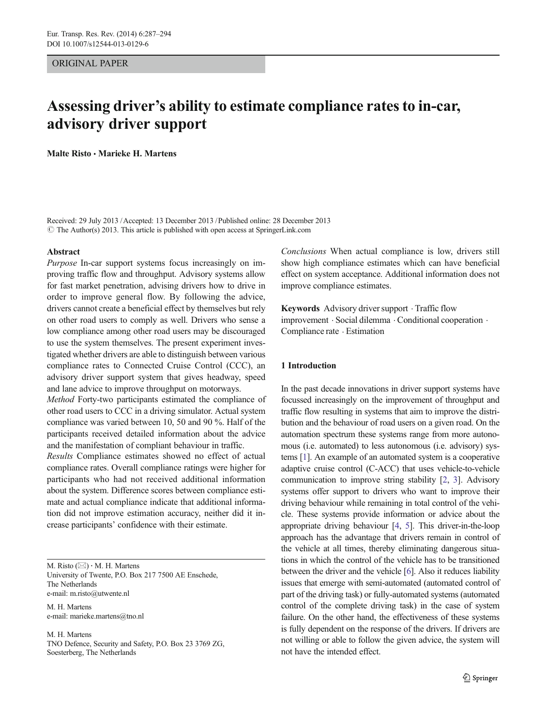# ORIGINAL PAPER

# Assessing driver's ability to estimate compliance rates to in-car, advisory driver support

Malte Risto & Marieke H. Martens

Received: 29 July 2013 /Accepted: 13 December 2013 /Published online: 28 December 2013  $\odot$  The Author(s) 2013. This article is published with open access at SpringerLink.com

#### Abstract

Purpose In-car support systems focus increasingly on improving traffic flow and throughput. Advisory systems allow for fast market penetration, advising drivers how to drive in order to improve general flow. By following the advice, drivers cannot create a beneficial effect by themselves but rely on other road users to comply as well. Drivers who sense a low compliance among other road users may be discouraged to use the system themselves. The present experiment investigated whether drivers are able to distinguish between various compliance rates to Connected Cruise Control (CCC), an advisory driver support system that gives headway, speed and lane advice to improve throughput on motorways.

Method Forty-two participants estimated the compliance of other road users to CCC in a driving simulator. Actual system compliance was varied between 10, 50 and 90 %. Half of the participants received detailed information about the advice and the manifestation of compliant behaviour in traffic.

Results Compliance estimates showed no effect of actual compliance rates. Overall compliance ratings were higher for participants who had not received additional information about the system. Difference scores between compliance estimate and actual compliance indicate that additional information did not improve estimation accuracy, neither did it increase participants' confidence with their estimate.

M. Risto  $(\boxtimes) \cdot$  M. H. Martens University of Twente, P.O. Box 217 7500 AE Enschede, The Netherlands e-mail: m.risto@utwente.nl

M. H. Martens e-mail: marieke.martens@tno.nl

M. H. Martens TNO Defence, Security and Safety, P.O. Box 23 3769 ZG, Soesterberg, The Netherlands

Conclusions When actual compliance is low, drivers still show high compliance estimates which can have beneficial effect on system acceptance. Additional information does not improve compliance estimates.

Keywords Advisory driver support  $\cdot$  Traffic flow improvement . Social dilemma . Conditional cooperation . Compliance rate . Estimation

## 1 Introduction

In the past decade innovations in driver support systems have focussed increasingly on the improvement of throughput and traffic flow resulting in systems that aim to improve the distribution and the behaviour of road users on a given road. On the automation spectrum these systems range from more autonomous (i.e. automated) to less autonomous (i.e. advisory) systems [[1](#page-7-0)]. An example of an automated system is a cooperative adaptive cruise control (C-ACC) that uses vehicle-to-vehicle communication to improve string stability [\[2](#page-7-0), [3\]](#page-7-0). Advisory systems offer support to drivers who want to improve their driving behaviour while remaining in total control of the vehicle. These systems provide information or advice about the appropriate driving behaviour [\[4,](#page-7-0) [5](#page-7-0)]. This driver-in-the-loop approach has the advantage that drivers remain in control of the vehicle at all times, thereby eliminating dangerous situations in which the control of the vehicle has to be transitioned between the driver and the vehicle [[6\]](#page-7-0). Also it reduces liability issues that emerge with semi-automated (automated control of part of the driving task) or fully-automated systems (automated control of the complete driving task) in the case of system failure. On the other hand, the effectiveness of these systems is fully dependent on the response of the drivers. If drivers are not willing or able to follow the given advice, the system will not have the intended effect.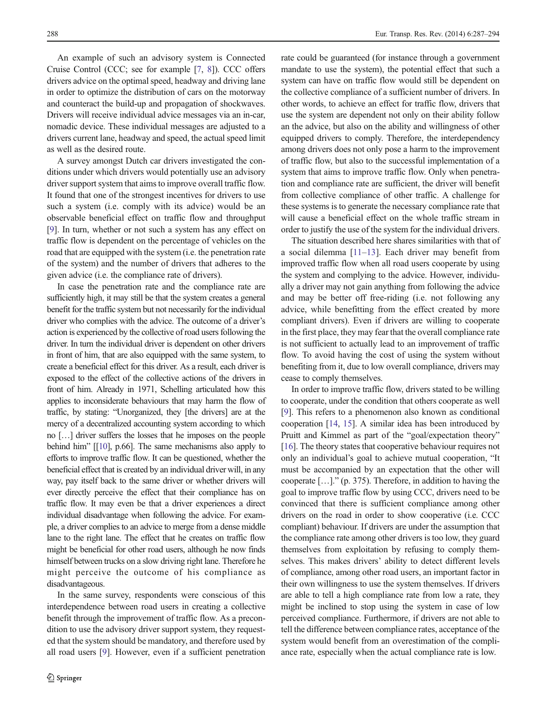An example of such an advisory system is Connected Cruise Control (CCC; see for example [\[7](#page-7-0), [8\]](#page-7-0)). CCC offers drivers advice on the optimal speed, headway and driving lane in order to optimize the distribution of cars on the motorway and counteract the build-up and propagation of shockwaves. Drivers will receive individual advice messages via an in-car, nomadic device. These individual messages are adjusted to a drivers current lane, headway and speed, the actual speed limit as well as the desired route.

A survey amongst Dutch car drivers investigated the conditions under which drivers would potentially use an advisory driver support system that aims to improve overall traffic flow. It found that one of the strongest incentives for drivers to use such a system (i.e. comply with its advice) would be an observable beneficial effect on traffic flow and throughput [\[9](#page-7-0)]. In turn, whether or not such a system has any effect on traffic flow is dependent on the percentage of vehicles on the road that are equipped with the system (i.e. the penetration rate of the system) and the number of drivers that adheres to the given advice (i.e. the compliance rate of drivers).

In case the penetration rate and the compliance rate are sufficiently high, it may still be that the system creates a general benefit for the traffic system but not necessarily for the individual driver who complies with the advice. The outcome of a driver's action is experienced by the collective of road users following the driver. In turn the individual driver is dependent on other drivers in front of him, that are also equipped with the same system, to create a beneficial effect for this driver. As a result, each driver is exposed to the effect of the collective actions of the drivers in front of him. Already in 1971, Schelling articulated how this applies to inconsiderate behaviours that may harm the flow of traffic, by stating: "Unorganized, they [the drivers] are at the mercy of a decentralized accounting system according to which no […] driver suffers the losses that he imposes on the people behind him" [[\[10\]](#page-7-0), p.66]. The same mechanisms also apply to efforts to improve traffic flow. It can be questioned, whether the beneficial effect that is created by an individual driver will, in any way, pay itself back to the same driver or whether drivers will ever directly perceive the effect that their compliance has on traffic flow. It may even be that a driver experiences a direct individual disadvantage when following the advice. For example, a driver complies to an advice to merge from a dense middle lane to the right lane. The effect that he creates on traffic flow might be beneficial for other road users, although he now finds himself between trucks on a slow driving right lane. Therefore he might perceive the outcome of his compliance as disadvantageous.

In the same survey, respondents were conscious of this interdependence between road users in creating a collective benefit through the improvement of traffic flow. As a precondition to use the advisory driver support system, they requested that the system should be mandatory, and therefore used by all road users [\[9](#page-7-0)]. However, even if a sufficient penetration rate could be guaranteed (for instance through a government mandate to use the system), the potential effect that such a system can have on traffic flow would still be dependent on the collective compliance of a sufficient number of drivers. In other words, to achieve an effect for traffic flow, drivers that use the system are dependent not only on their ability follow an the advice, but also on the ability and willingness of other equipped drivers to comply. Therefore, the interdependency among drivers does not only pose a harm to the improvement of traffic flow, but also to the successful implementation of a system that aims to improve traffic flow. Only when penetration and compliance rate are sufficient, the driver will benefit from collective compliance of other traffic. A challenge for these systems is to generate the necessary compliance rate that will cause a beneficial effect on the whole traffic stream in order to justify the use of the system for the individual drivers.

The situation described here shares similarities with that of a social dilemma [[11](#page-7-0)–[13](#page-7-0)]. Each driver may benefit from improved traffic flow when all road users cooperate by using the system and complying to the advice. However, individually a driver may not gain anything from following the advice and may be better off free-riding (i.e. not following any advice, while benefitting from the effect created by more compliant drivers). Even if drivers are willing to cooperate in the first place, they may fear that the overall compliance rate is not sufficient to actually lead to an improvement of traffic flow. To avoid having the cost of using the system without benefiting from it, due to low overall compliance, drivers may cease to comply themselves.

In order to improve traffic flow, drivers stated to be willing to cooperate, under the condition that others cooperate as well [\[9](#page-7-0)]. This refers to a phenomenon also known as conditional cooperation [\[14,](#page-7-0) [15](#page-7-0)]. A similar idea has been introduced by Pruitt and Kimmel as part of the "goal/expectation theory" [\[16](#page-7-0)]. The theory states that cooperative behaviour requires not only an individual's goal to achieve mutual cooperation, "It must be accompanied by an expectation that the other will cooperate […]." (p. 375). Therefore, in addition to having the goal to improve traffic flow by using CCC, drivers need to be convinced that there is sufficient compliance among other drivers on the road in order to show cooperative (i.e. CCC compliant) behaviour. If drivers are under the assumption that the compliance rate among other drivers is too low, they guard themselves from exploitation by refusing to comply themselves. This makes drivers' ability to detect different levels of compliance, among other road users, an important factor in their own willingness to use the system themselves. If drivers are able to tell a high compliance rate from low a rate, they might be inclined to stop using the system in case of low perceived compliance. Furthermore, if drivers are not able to tell the difference between compliance rates, acceptance of the system would benefit from an overestimation of the compliance rate, especially when the actual compliance rate is low.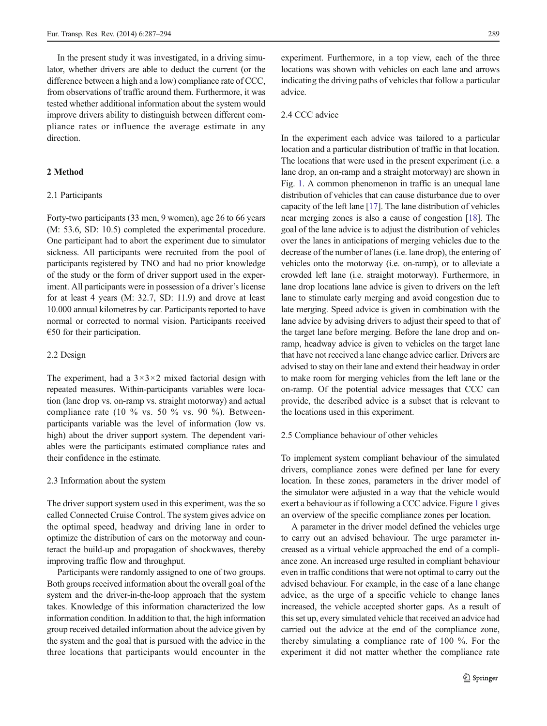In the present study it was investigated, in a driving simulator, whether drivers are able to deduct the current (or the difference between a high and a low) compliance rate of CCC, from observations of traffic around them. Furthermore, it was tested whether additional information about the system would improve drivers ability to distinguish between different compliance rates or influence the average estimate in any direction.

# 2 Method

## 2.1 Participants

Forty-two participants (33 men, 9 women), age 26 to 66 years (M: 53.6, SD: 10.5) completed the experimental procedure. One participant had to abort the experiment due to simulator sickness. All participants were recruited from the pool of participants registered by TNO and had no prior knowledge of the study or the form of driver support used in the experiment. All participants were in possession of a driver's license for at least 4 years (M: 32.7, SD: 11.9) and drove at least 10.000 annual kilometres by car. Participants reported to have normal or corrected to normal vision. Participants received  $€50$  for their participation.

## 2.2 Design

The experiment, had a  $3 \times 3 \times 2$  mixed factorial design with repeated measures. Within-participants variables were location (lane drop vs. on-ramp vs. straight motorway) and actual compliance rate (10  $\%$  vs. 50  $\%$  vs. 90  $\%$ ). Betweenparticipants variable was the level of information (low vs. high) about the driver support system. The dependent variables were the participants estimated compliance rates and their confidence in the estimate.

#### 2.3 Information about the system

The driver support system used in this experiment, was the so called Connected Cruise Control. The system gives advice on the optimal speed, headway and driving lane in order to optimize the distribution of cars on the motorway and counteract the build-up and propagation of shockwaves, thereby improving traffic flow and throughput.

Participants were randomly assigned to one of two groups. Both groups received information about the overall goal of the system and the driver-in-the-loop approach that the system takes. Knowledge of this information characterized the low information condition. In addition to that, the high information group received detailed information about the advice given by the system and the goal that is pursued with the advice in the three locations that participants would encounter in the experiment. Furthermore, in a top view, each of the three locations was shown with vehicles on each lane and arrows indicating the driving paths of vehicles that follow a particular advice.

## 2.4 CCC advice

In the experiment each advice was tailored to a particular location and a particular distribution of traffic in that location. The locations that were used in the present experiment (i.e. a lane drop, an on-ramp and a straight motorway) are shown in Fig. [1](#page-3-0). A common phenomenon in traffic is an unequal lane distribution of vehicles that can cause disturbance due to over capacity of the left lane [[17\]](#page-7-0). The lane distribution of vehicles near merging zones is also a cause of congestion [\[18\]](#page-7-0). The goal of the lane advice is to adjust the distribution of vehicles over the lanes in anticipations of merging vehicles due to the decrease of the number of lanes (i.e. lane drop), the entering of vehicles onto the motorway (i.e. on-ramp), or to alleviate a crowded left lane (i.e. straight motorway). Furthermore, in lane drop locations lane advice is given to drivers on the left lane to stimulate early merging and avoid congestion due to late merging. Speed advice is given in combination with the lane advice by advising drivers to adjust their speed to that of the target lane before merging. Before the lane drop and onramp, headway advice is given to vehicles on the target lane that have not received a lane change advice earlier. Drivers are advised to stay on their lane and extend their headway in order to make room for merging vehicles from the left lane or the on-ramp. Of the potential advice messages that CCC can provide, the described advice is a subset that is relevant to the locations used in this experiment.

## 2.5 Compliance behaviour of other vehicles

To implement system compliant behaviour of the simulated drivers, compliance zones were defined per lane for every location. In these zones, parameters in the driver model of the simulator were adjusted in a way that the vehicle would exert a behaviour as if following a CCC advice. Figure [1](#page-3-0) gives an overview of the specific compliance zones per location.

A parameter in the driver model defined the vehicles urge to carry out an advised behaviour. The urge parameter increased as a virtual vehicle approached the end of a compliance zone. An increased urge resulted in compliant behaviour even in traffic conditions that were not optimal to carry out the advised behaviour. For example, in the case of a lane change advice, as the urge of a specific vehicle to change lanes increased, the vehicle accepted shorter gaps. As a result of this set up, every simulated vehicle that received an advice had carried out the advice at the end of the compliance zone, thereby simulating a compliance rate of 100 %. For the experiment it did not matter whether the compliance rate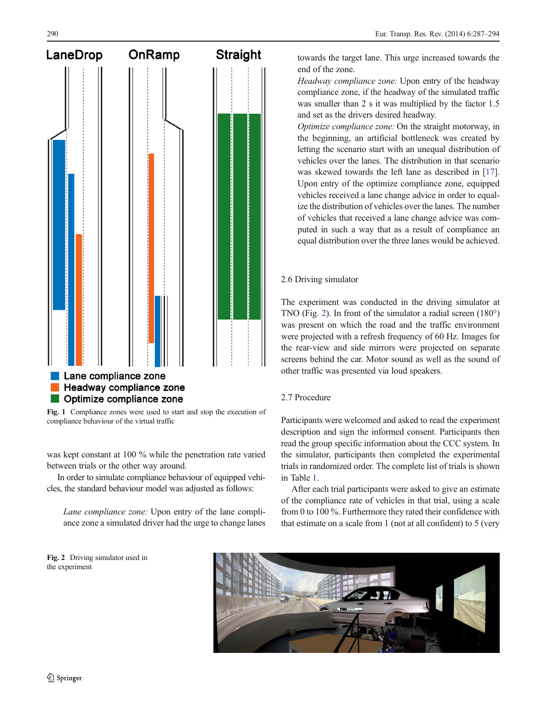<span id="page-3-0"></span>

Fig. 1 Compliance zones were used to start and stop the execution of compliance behaviour of the virtual traffic

was kept constant at 100 % while the penetration rate varied between trials or the other way around.

In order to simulate compliance behaviour of equipped vehicles, the standard behaviour model was adjusted as follows:

Lane compliance zone: Upon entry of the lane compliance zone a simulated driver had the urge to change lanes

towards the target lane. This urge increased towards the end of the zone.

Headway compliance zone: Upon entry of the headway compliance zone, if the headway of the simulated traffic was smaller than 2 s it was multiplied by the factor 1.5 and set as the drivers desired headway.

Optimize compliance zone: On the straight motorway, in the beginning, an artificial bottleneck was created by letting the scenario start with an unequal distribution of vehicles over the lanes. The distribution in that scenario was skewed towards the left lane as described in [[17\]](#page-7-0). Upon entry of the optimize compliance zone, equipped vehicles received a lane change advice in order to equalize the distribution of vehicles over the lanes. The number of vehicles that received a lane change advice was computed in such a way that as a result of compliance an equal distribution over the three lanes would be achieved.

# 2.6 Driving simulator

The experiment was conducted in the driving simulator at TNO (Fig. 2). In front of the simulator a radial screen (180°) was present on which the road and the traffic environment were projected with a refresh frequency of 60 Hz. Images for the rear-view and side mirrors were projected on separate screens behind the car. Motor sound as well as the sound of other traffic was presented via loud speakers.

# 2.7 Procedure

Participants were welcomed and asked to read the experiment description and sign the informed consent. Participants then read the group specific information about the CCC system. In the simulator, participants then completed the experimental trials in randomized order. The complete list of trials is shown in Table [1](#page-4-0).

After each trial participants were asked to give an estimate of the compliance rate of vehicles in that trial, using a scale from 0 to 100 %. Furthermore they rated their confidence with that estimate on a scale from 1 (not at all confident) to 5 (very



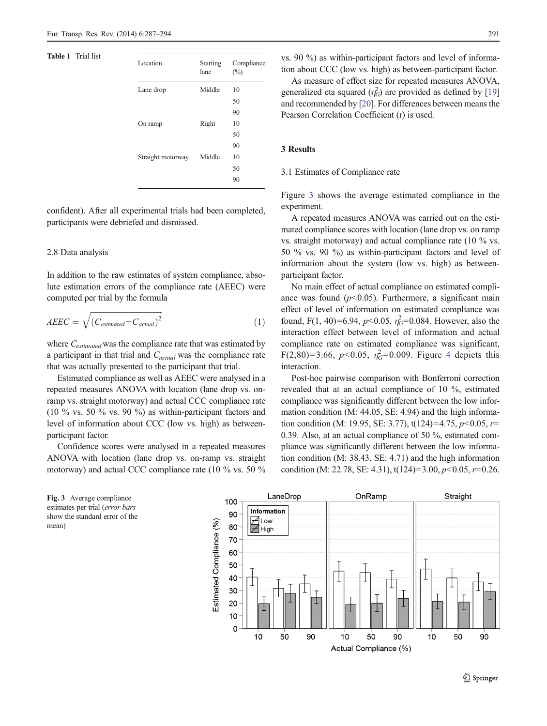## <span id="page-4-0"></span>Table 1 Trial list

| Location          | <b>Starting</b><br>lane | Compliance<br>(%) |
|-------------------|-------------------------|-------------------|
| Lane drop         | Middle                  | 10                |
|                   |                         | 50                |
|                   |                         | 90                |
| On ramp           | Right                   | 10                |
|                   |                         | 50                |
|                   |                         | 90                |
| Straight motorway | Middle                  | 10                |
|                   |                         | 50                |
|                   |                         | 90                |
|                   |                         |                   |

confident). After all experimental trials had been completed, participants were debriefed and dismissed.

#### 2.8 Data analysis

In addition to the raw estimates of system compliance, absolute estimation errors of the compliance rate (AEEC) were computed per trial by the formula

$$
AEEC = \sqrt{(C_{estimated} - C_{actual})^2}
$$
 (1)

where C<sub>estimated</sub> was the compliance rate that was estimated by a participant in that trial and  $C_{actual}$  was the compliance rate that was actually presented to the participant that trial.

Estimated compliance as well as AEEC were analysed in a repeated measures ANOVA with location (lane drop vs. onramp vs. straight motorway) and actual CCC compliance rate (10  $\%$  vs. 50  $\%$  vs. 90  $\%$ ) as within-participant factors and level of information about CCC (low vs. high) as betweenparticipant factor.

Confidence scores were analysed in a repeated measures ANOVA with location (lane drop vs. on-ramp vs. straight motorway) and actual CCC compliance rate (10 % vs. 50 %

Fig. 3 Average compliance estimates per trial (error bars show the standard error of the mean)

vs. 90 %) as within-participant factors and level of information about CCC (low vs. high) as between-participant factor.

As measure of effect size for repeated measures ANOVA, generalized eta squared  $(\eta_G^2)$  are provided as defined by [\[19](#page-7-0)] and recommended by [\[20\]](#page-7-0). For differences between means the Pearson Correlation Coefficient (r) is used.

# 3 Results

#### 3.1 Estimates of Compliance rate

Figure 3 shows the average estimated compliance in the experiment.

A repeated measures ANOVA was carried out on the estimated compliance scores with location (lane drop vs. on ramp vs. straight motorway) and actual compliance rate (10 % vs. 50 % vs. 90 %) as within-participant factors and level of information about the system (low vs. high) as betweenparticipant factor.

No main effect of actual compliance on estimated compliance was found  $(p<0.05)$ . Furthermore, a significant main effect of level of information on estimated compliance was found, F(1, 40)=6.94,  $p$ <0.05,  $\eta_G^2$ =0.084. However, also the interaction effect between level of information and actual compliance rate on estimated compliance was significant, F(2,80)=3.66, p<0.05,  $\eta_G^2$ =0.009. Figure [4](#page-5-0) depicts this interaction.

Post-hoc pairwise comparison with Bonferroni correction revealed that at an actual compliance of 10 %, estimated compliance was significantly different between the low information condition (M: 44.05, SE: 4.94) and the high information condition (M: 19.95, SE: 3.77),  $t(124)=4.75$ ,  $p<0.05$ ,  $r=$ 0.39. Also, at an actual compliance of 50 %, estimated compliance was significantly different between the low information condition (M: 38.43, SE: 4.71) and the high information condition (M: 22.78, SE: 4.31),  $t(124)=3.00, p<0.05, r=0.26$ .

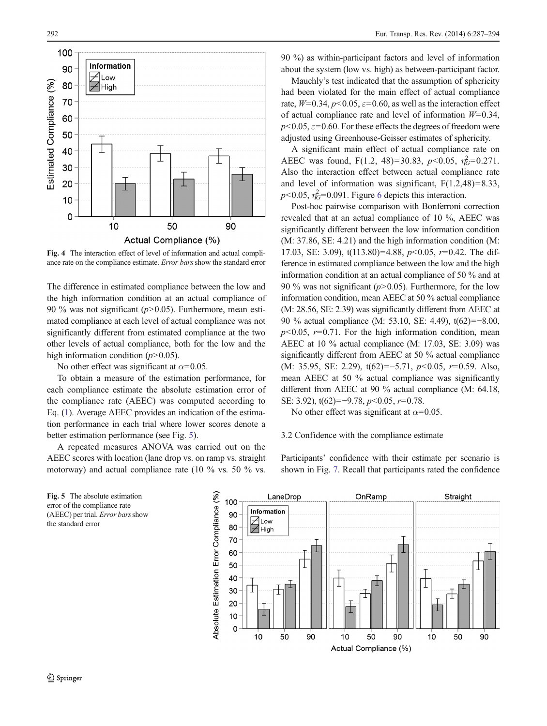<span id="page-5-0"></span>

Fig. 4 The interaction effect of level of information and actual compliance rate on the compliance estimate. Error bars show the standard error

The difference in estimated compliance between the low and the high information condition at an actual compliance of 90 % was not significant ( $p$ >0.05). Furthermore, mean estimated compliance at each level of actual compliance was not significantly different from estimated compliance at the two other levels of actual compliance, both for the low and the high information condition  $(p>0.05)$ .

No other effect was significant at  $\alpha$ =0.05.

To obtain a measure of the estimation performance, for each compliance estimate the absolute estimation error of the compliance rate (AEEC) was computed according to Eq. [\(1](#page-4-0)). Average AEEC provides an indication of the estimation performance in each trial where lower scores denote a better estimation performance (see Fig. 5).

A repeated measures ANOVA was carried out on the AEEC scores with location (lane drop vs. on ramp vs. straight motorway) and actual compliance rate (10 % vs. 50 % vs.

90 %) as within-participant factors and level of information about the system (low vs. high) as between-participant factor.

Mauchly's test indicated that the assumption of sphericity had been violated for the main effect of actual compliance rate,  $W=0.34$ ,  $p<0.05$ ,  $\varepsilon=0.60$ , as well as the interaction effect of actual compliance rate and level of information  $W=0.34$ ,  $p$ <0.05,  $\varepsilon$ =0.60. For these effects the degrees of freedom were adjusted using Greenhouse-Geisser estimates of sphericity.

A significant main effect of actual compliance rate on AEEC was found, F(1.2, 48)=30.83, p<0.05,  $\eta_G^2$ =0.271. Also the interaction effect between actual compliance rate and level of information was significant,  $F(1.2,48)=8.33$ ,  $p<0.05$ ,  $\eta_G^2=0.091$ . Figure [6](#page-6-0) depicts this interaction.

Post-hoc pairwise comparison with Bonferroni correction revealed that at an actual compliance of 10 %, AEEC was significantly different between the low information condition (M: 37.86, SE: 4.21) and the high information condition (M: 17.03, SE: 3.09),  $t(113.80)=4.88$ ,  $p<0.05$ ,  $r=0.42$ . The difference in estimated compliance between the low and the high information condition at an actual compliance of 50 % and at 90 % was not significant ( $p$ >0.05). Furthermore, for the low information condition, mean AEEC at 50 % actual compliance (M: 28.56, SE: 2.39) was significantly different from AEEC at 90 % actual compliance (M: 53.10, SE: 4.49), t(62)=−8.00,  $p<0.05$ ,  $r=0.71$ . For the high information condition, mean AEEC at 10 % actual compliance (M: 17.03, SE: 3.09) was significantly different from AEEC at 50 % actual compliance (M: 35.95, SE: 2.29),  $t(62)=-5.71$ ,  $p<0.05$ ,  $r=0.59$ . Also, mean AEEC at 50 % actual compliance was significantly different from AEEC at 90 % actual compliance (M: 64.18, SE: 3.92), t(62)=−9.78, p<0.05, r=0.78.

No other effect was significant at  $\alpha$ =0.05.

## 3.2 Confidence with the compliance estimate

Participants' confidence with their estimate per scenario is shown in Fig. [7.](#page-6-0) Recall that participants rated the confidence

Fig. 5 The absolute estimation error of the compliance rate (AEEC) per trial. Error bars show the standard error

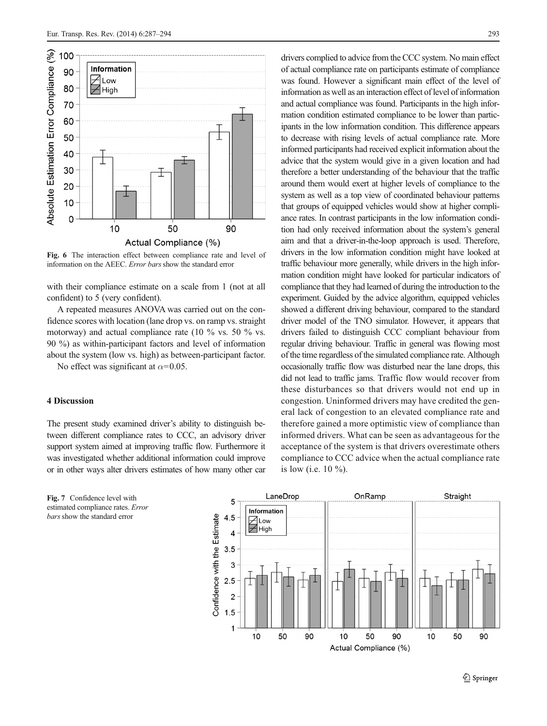<span id="page-6-0"></span>

Fig. 6 The interaction effect between compliance rate and level of information on the AEEC. Error barsshow the standard error

with their compliance estimate on a scale from 1 (not at all confident) to 5 (very confident).

A repeated measures ANOVA was carried out on the confidence scores with location (lane drop vs. on ramp vs. straight motorway) and actual compliance rate (10 % vs. 50 % vs. 90 %) as within-participant factors and level of information about the system (low vs. high) as between-participant factor.

No effect was significant at  $\alpha$ =0.05.

# 4 Discussion

The present study examined driver's ability to distinguish between different compliance rates to CCC, an advisory driver support system aimed at improving traffic flow. Furthermore it was investigated whether additional information could improve or in other ways alter drivers estimates of how many other car

drivers complied to advice from the CCC system. No main effect of actual compliance rate on participants estimate of compliance was found. However a significant main effect of the level of information as well as an interaction effect of level of information and actual compliance was found. Participants in the high information condition estimated compliance to be lower than participants in the low information condition. This difference appears to decrease with rising levels of actual compliance rate. More informed participants had received explicit information about the advice that the system would give in a given location and had therefore a better understanding of the behaviour that the traffic around them would exert at higher levels of compliance to the system as well as a top view of coordinated behaviour patterns that groups of equipped vehicles would show at higher compliance rates. In contrast participants in the low information condition had only received information about the system's general aim and that a driver-in-the-loop approach is used. Therefore, drivers in the low information condition might have looked at traffic behaviour more generally, while drivers in the high information condition might have looked for particular indicators of compliance that they had learned of during the introduction to the experiment. Guided by the advice algorithm, equipped vehicles showed a different driving behaviour, compared to the standard driver model of the TNO simulator. However, it appears that drivers failed to distinguish CCC compliant behaviour from regular driving behaviour. Traffic in general was flowing most of the time regardless of the simulated compliance rate. Although occasionally traffic flow was disturbed near the lane drops, this did not lead to traffic jams. Traffic flow would recover from these disturbances so that drivers would not end up in congestion. Uninformed drivers may have credited the general lack of congestion to an elevated compliance rate and therefore gained a more optimistic view of compliance than informed drivers. What can be seen as advantageous for the acceptance of the system is that drivers overestimate others compliance to CCC advice when the actual compliance rate is low (i.e. 10 %).



Fig. 7 Confidence level with estimated compliance rates. Error bars show the standard error